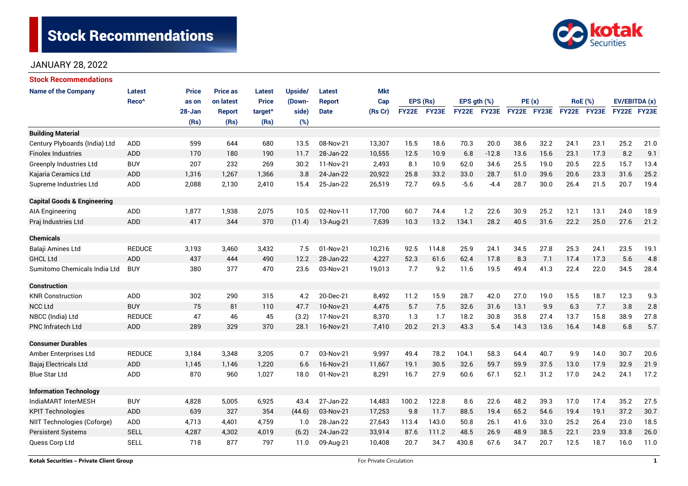# **Stock Recommendations**



# JANUARY 28, 2022

| <b>Stock Recommendations</b>           |                   |        |                 |                     |         |               |            |              |          |              |         |             |      |                |      |               |      |
|----------------------------------------|-------------------|--------|-----------------|---------------------|---------|---------------|------------|--------------|----------|--------------|---------|-------------|------|----------------|------|---------------|------|
| <b>Name of the Company</b>             | Latest            | Price  | <b>Price as</b> | Latest              | Upside/ | Latest        | <b>Mkt</b> |              |          |              |         |             |      |                |      |               |      |
|                                        | Reco <sup>^</sup> | as on  | on latest       | <b>Price</b>        | (Down-  | <b>Report</b> | Cap        |              | EPS (Rs) | EPS gth (%)  |         | PE(x)       |      | <b>RoE</b> (%) |      | EV/EBITDA (x) |      |
|                                        |                   | 28-Jan | <b>Report</b>   | target <sup>^</sup> | side)   | <b>Date</b>   | (Rs Cr)    | <b>FY22E</b> | FY23E    | <b>FY22E</b> | FY23E   | FY22E FY23E |      | FY22E FY23E    |      | FY22E FY23E   |      |
|                                        |                   | (Rs)   | (Rs)            | (Rs)                | (%)     |               |            |              |          |              |         |             |      |                |      |               |      |
| <b>Building Material</b>               |                   |        |                 |                     |         |               |            |              |          |              |         |             |      |                |      |               |      |
| Century Plyboards (India) Ltd          | <b>ADD</b>        | 599    | 644             | 680                 | 13.5    | 08-Nov-21     | 13,307     | 15.5         | 18.6     | 70.3         | 20.0    | 38.6        | 32.2 | 24.1           | 23.1 | 25.2          | 21.0 |
| <b>Finolex Industries</b>              | ADD               | 170    | 180             | 190                 | 11.7    | 28-Jan-22     | 10,555     | 12.5         | 10.9     | 6.8          | $-12.8$ | 13.6        | 15.6 | 23.1           | 17.3 | 8.2           | 9.1  |
| <b>Greenply Industries Ltd</b>         | <b>BUY</b>        | 207    | 232             | 269                 | 30.2    | 11-Nov-21     | 2,493      | 8.1          | 10.9     | 62.0         | 34.6    | 25.5        | 19.0 | 20.5           | 22.5 | 15.7          | 13.4 |
| Kajaria Ceramics Ltd                   | <b>ADD</b>        | 1,316  | 1,267           | 1,366               | 3.8     | 24-Jan-22     | 20,922     | 25.8         | 33.2     | 33.0         | 28.7    | 51.0        | 39.6 | 20.6           | 23.3 | 31.6          | 25.2 |
| Supreme Industries Ltd                 | ADD               | 2,088  | 2,130           | 2,410               | 15.4    | 25-Jan-22     | 26,519     | 72.7         | 69.5     | $-5.6$       | $-4.4$  | 28.7        | 30.0 | 26.4           | 21.5 | 20.7          | 19.4 |
| <b>Capital Goods &amp; Engineering</b> |                   |        |                 |                     |         |               |            |              |          |              |         |             |      |                |      |               |      |
| AIA Engineering                        | ADD               | 1,877  | 1,938           | 2,075               | 10.5    | 02-Nov-11     | 17,700     | 60.7         | 74.4     | 1.2          | 22.6    | 30.9        | 25.2 | 12.1           | 13.1 | 24.0          | 18.9 |
| Praj Industries Ltd                    | ADD               | 417    | 344             | 370                 | (11.4)  | 13-Aug-21     | 7,639      | 10.3         | 13.2     | 134.1        | 28.2    | 40.5        | 31.6 | 22.2           | 25.0 | 27.6          | 21.2 |
| <b>Chemicals</b>                       |                   |        |                 |                     |         |               |            |              |          |              |         |             |      |                |      |               |      |
| Balaji Amines Ltd                      | <b>REDUCE</b>     | 3,193  | 3,460           | 3,432               | 7.5     | 01-Nov-21     | 10,216     | 92.5         | 114.8    | 25.9         | 24.1    | 34.5        | 27.8 | 25.3           | 24.1 | 23.5          | 19.1 |
| <b>GHCL Ltd</b>                        | <b>ADD</b>        | 437    | 444             | 490                 | 12.2    | 28-Jan-22     | 4,227      | 52.3         | 61.6     | 62.4         | 17.8    | 8.3         | 7.1  | 17.4           | 17.3 | 5.6           | 4.8  |
| Sumitomo Chemicals India Ltd           | <b>BUY</b>        | 380    | 377             | 470                 | 23.6    | 03-Nov-21     | 19,013     | 7.7          | 9.2      | 11.6         | 19.5    | 49.4        | 41.3 | 22.4           | 22.0 | 34.5          | 28.4 |
| <b>Construction</b>                    |                   |        |                 |                     |         |               |            |              |          |              |         |             |      |                |      |               |      |
| <b>KNR Construction</b>                | ADD               | 302    | 290             | 315                 | 4.2     | 20-Dec-21     | 8,492      | 11.2         | 15.9     | 28.7         | 42.0    | 27.0        | 19.0 | 15.5           | 18.7 | 12.3          | 9.3  |
| <b>NCC Ltd</b>                         | <b>BUY</b>        | 75     | 81              | 110                 | 47.7    | 10-Nov-21     | 4,475      | 5.7          | 7.5      | 32.6         | 31.6    | 13.1        | 9.9  | 6.3            | 7.7  | 3.8           | 2.8  |
| NBCC (India) Ltd                       | <b>REDUCE</b>     | 47     | 46              | 45                  | (3.2)   | 17-Nov-21     | 8,370      | 1.3          | 1.7      | 18.2         | 30.8    | 35.8        | 27.4 | 13.7           | 15.8 | 38.9          | 27.8 |
| <b>PNC Infratech Ltd</b>               | ADD               | 289    | 329             | 370                 | 28.1    | 16-Nov-21     | 7,410      | 20.2         | 21.3     | 43.3         | 5.4     | 14.3        | 13.6 | 16.4           | 14.8 | 6.8           | 5.7  |
| <b>Consumer Durables</b>               |                   |        |                 |                     |         |               |            |              |          |              |         |             |      |                |      |               |      |
| Amber Enterprises Ltd                  | <b>REDUCE</b>     | 3,184  | 3,348           | 3,205               | 0.7     | 03-Nov-21     | 9,997      | 49.4         | 78.2     | 104.1        | 58.3    | 64.4        | 40.7 | 9.9            | 14.0 | 30.7          | 20.6 |
| Bajaj Electricals Ltd                  | <b>ADD</b>        | 1,145  | 1.146           | 1,220               | 6.6     | 16-Nov-21     | 11,667     | 19.1         | 30.5     | 32.6         | 59.7    | 59.9        | 37.5 | 13.0           | 17.9 | 32.9          | 21.9 |
| <b>Blue Star Ltd</b>                   | ADD               | 870    | 960             | 1,027               | 18.0    | 01-Nov-21     | 8,291      | 16.7         | 27.9     | 60.6         | 67.1    | 52.1        | 31.2 | 17.0           | 24.2 | 24.1          | 17.2 |
| <b>Information Technology</b>          |                   |        |                 |                     |         |               |            |              |          |              |         |             |      |                |      |               |      |
| IndiaMART InterMESH                    | <b>BUY</b>        | 4,828  | 5,005           | 6,925               | 43.4    | 27-Jan-22     | 14,483     | 100.2        | 122.8    | 8.6          | 22.6    | 48.2        | 39.3 | 17.0           | 17.4 | 35.2          | 27.5 |
| <b>KPIT Technologies</b>               | <b>ADD</b>        | 639    | 327             | 354                 | (44.6)  | 03-Nov-21     | 17,253     | 9.8          | 11.7     | 88.5         | 19.4    | 65.2        | 54.6 | 19.4           | 19.1 | 37.2          | 30.7 |
| NIIT Technologies (Coforge)            | ADD               | 4,713  | 4,401           | 4,759               | 1.0     | 28-Jan-22     | 27,643     | 113.4        | 143.0    | 50.8         | 26.1    | 41.6        | 33.0 | 25.2           | 26.4 | 23.0          | 18.5 |
| <b>Persistent Systems</b>              | <b>SELL</b>       | 4,287  | 4,302           | 4,019               | (6.2)   | 24-Jan-22     | 33,914     | 87.6         | 111.2    | 48.5         | 26.9    | 48.9        | 38.5 | 22.1           | 23.9 | 33.8          | 26.0 |
| Quess Corp Ltd                         | <b>SELL</b>       | 718    | 877             | 797                 | 11.0    | 09-Aug-21     | 10,408     | 20.7         | 34.7     | 430.8        | 67.6    | 34.7        | 20.7 | 12.5           | 18.7 | 16.0          | 11.0 |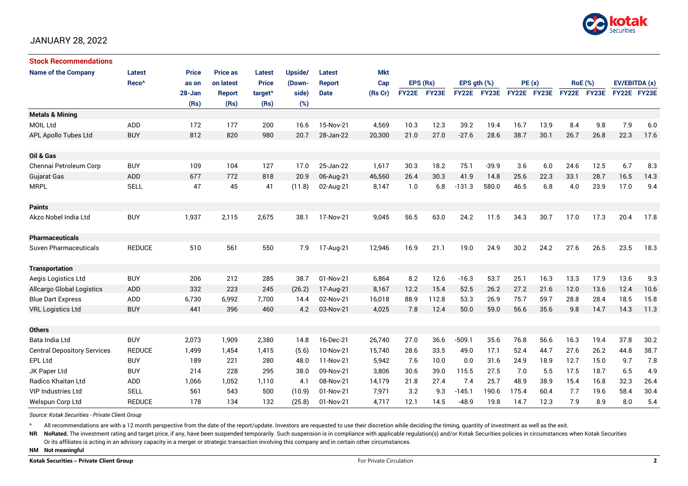

## JANUARY 28, 2022

| <b>Stock Recommendations</b>       |                   |              |                 |                     |         |               |            |              |          |              |              |             |      |             |                |               |      |
|------------------------------------|-------------------|--------------|-----------------|---------------------|---------|---------------|------------|--------------|----------|--------------|--------------|-------------|------|-------------|----------------|---------------|------|
| <b>Name of the Company</b>         | <b>Latest</b>     | <b>Price</b> | <b>Price as</b> | Latest              | Upside/ | Latest        | <b>Mkt</b> |              |          |              |              |             |      |             |                |               |      |
|                                    | Reco <sup>^</sup> | as on        | on latest       | <b>Price</b>        | (Down-  | <b>Report</b> | Cap        |              | EPS (Rs) | EPS qth (%)  |              | PE(x)       |      |             | <b>RoE</b> (%) | EV/EBITDA (x) |      |
|                                    |                   | 28-Jan       | <b>Report</b>   | target <sup>^</sup> | side)   | <b>Date</b>   | (Rs Cr)    | <b>FY22E</b> | FY23E    | <b>FY22E</b> | <b>FY23E</b> | FY22E FY23E |      | FY22E FY23E |                | FY22E FY23E   |      |
|                                    |                   | (Rs)         | (Rs)            | (Rs)                | (%)     |               |            |              |          |              |              |             |      |             |                |               |      |
| <b>Metals &amp; Mining</b>         |                   |              |                 |                     |         |               |            |              |          |              |              |             |      |             |                |               |      |
| <b>MOIL Ltd</b>                    | <b>ADD</b>        | 172          | 177             | 200                 | 16.6    | 15-Nov-21     | 4,569      | 10.3         | 12.3     | 39.2         | 19.4         | 16.7        | 13.9 | 8.4         | 9.8            | 7.9           | 6.0  |
| APL Apollo Tubes Ltd               | <b>BUY</b>        | 812          | 820             | 980                 | 20.7    | 28-Jan-22     | 20,300     | 21.0         | 27.0     | $-27.6$      | 28.6         | 38.7        | 30.1 | 26.7        | 26.8           | 22.3          | 17.6 |
|                                    |                   |              |                 |                     |         |               |            |              |          |              |              |             |      |             |                |               |      |
| Oil & Gas                          |                   |              |                 |                     |         |               |            |              |          |              |              |             |      |             |                |               |      |
| Chennai Petroleum Corp             | <b>BUY</b>        | 109          | 104             | 127                 | 17.0    | 25-Jan-22     | 1,617      | 30.3         | 18.2     | 75.1         | $-39.9$      | 3.6         | 6.0  | 24.6        | 12.5           | 6.7           | 8.3  |
| Gujarat Gas                        | <b>ADD</b>        | 677          | 772             | 818                 | 20.9    | 06-Aug-21     | 46,560     | 26.4         | 30.3     | 41.9         | 14.8         | 25.6        | 22.3 | 33.1        | 28.7           | 16.5          | 14.3 |
| <b>MRPL</b>                        | <b>SELL</b>       | 47           | 45              | 41                  | (11.8)  | 02-Aug-21     | 8,147      | 1.0          | 6.8      | $-131.3$     | 580.0        | 46.5        | 6.8  | 4.0         | 23.9           | 17.0          | 9.4  |
|                                    |                   |              |                 |                     |         |               |            |              |          |              |              |             |      |             |                |               |      |
| <b>Paints</b>                      |                   |              |                 |                     |         |               |            |              |          |              |              |             |      |             |                |               |      |
| Akzo Nobel India Ltd               | <b>BUY</b>        | 1,937        | 2,115           | 2,675               | 38.1    | 17-Nov-21     | 9,045      | 56.5         | 63.0     | 24.2         | 11.5         | 34.3        | 30.7 | 17.0        | 17.3           | 20.4          | 17.8 |
|                                    |                   |              |                 |                     |         |               |            |              |          |              |              |             |      |             |                |               |      |
| <b>Pharmaceuticals</b>             |                   |              |                 |                     |         |               |            |              |          |              |              |             |      |             |                |               |      |
| <b>Suven Pharmaceuticals</b>       | <b>REDUCE</b>     | 510          | 561             | 550                 | 7.9     | 17-Aug-21     | 12,946     | 16.9         | 21.1     | 19.0         | 24.9         | 30.2        | 24.2 | 27.6        | 26.5           | 23.5          | 18.3 |
|                                    |                   |              |                 |                     |         |               |            |              |          |              |              |             |      |             |                |               |      |
| <b>Transportation</b>              |                   |              |                 |                     |         |               |            |              |          |              |              |             |      |             |                |               |      |
| Aegis Logistics Ltd                | <b>BUY</b>        | 206          | 212             | 285                 | 38.7    | 01-Nov-21     | 6,864      | 8.2          | 12.6     | $-16.3$      | 53.7         | 25.1        | 16.3 | 13.3        | 17.9           | 13.6          | 9.3  |
| <b>Allcargo Global Logistics</b>   | ADD               | 332          | 223             | 245                 | (26.2)  | 17-Aug-21     | 8,167      | 12.2         | 15.4     | 52.5         | 26.2         | 27.2        | 21.6 | 12.0        | 13.6           | 12.4          | 10.6 |
| <b>Blue Dart Express</b>           | ADD               | 6,730        | 6,992           | 7,700               | 14.4    | 02-Nov-21     | 16,018     | 88.9         | 112.8    | 53.3         | 26.9         | 75.7        | 59.7 | 28.8        | 28.4           | 18.5          | 15.8 |
| <b>VRL Logistics Ltd</b>           | <b>BUY</b>        | 441          | 396             | 460                 | 4.2     | 03-Nov-21     | 4,025      | 7.8          | 12.4     | 50.0         | 59.0         | 56.6        | 35.6 | 9.8         | 14.7           | 14.3          | 11.3 |
|                                    |                   |              |                 |                     |         |               |            |              |          |              |              |             |      |             |                |               |      |
| <b>Others</b>                      |                   |              |                 |                     |         |               |            |              |          |              |              |             |      |             |                |               |      |
| Bata India Ltd                     | <b>BUY</b>        | 2,073        | 1,909           | 2,380               | 14.8    | 16-Dec-21     | 26,740     | 27.0         | 36.6     | $-509.1$     | 35.6         | 76.8        | 56.6 | 16.3        | 19.4           | 37.8          | 30.2 |
| <b>Central Depository Services</b> | <b>REDUCE</b>     | 1,499        | 1,454           | 1,415               | (5.6)   | 10-Nov-21     | 15,740     | 28.6         | 33.5     | 49.0         | 17.1         | 52.4        | 44.7 | 27.6        | 26.2           | 44.8          | 38.7 |
| EPL Ltd                            | <b>BUY</b>        | 189          | 221             | 280                 | 48.0    | 11-Nov-21     | 5,942      | 7.6          | 10.0     | 0.0          | 31.6         | 24.9        | 18.9 | 12.7        | 15.0           | 9.7           | 7.8  |
| JK Paper Ltd                       | <b>BUY</b>        | 214          | 228             | 295                 | 38.0    | 09-Nov-21     | 3,806      | 30.6         | 39.0     | 115.5        | 27.5         | 7.0         | 5.5  | 17.5        | 18.7           | 6.5           | 4.9  |
| <b>Radico Khaitan Ltd</b>          | <b>ADD</b>        | 1,066        | 1,052           | 1.110               | 4.1     | 08-Nov-21     | 14.179     | 21.8         | 27.4     | 7.4          | 25.7         | 48.9        | 38.9 | 15.4        | 16.8           | 32.3          | 26.4 |
| <b>VIP Industries Ltd</b>          | <b>SELL</b>       | 561          | 543             | 500                 | (10.9)  | 01-Nov-21     | 7,971      | 3.2          | 9.3      | $-145.1$     | 190.6        | 175.4       | 60.4 | 7.7         | 19.6           | 58.4          | 30.4 |
| Welspun Corp Ltd                   | <b>REDUCE</b>     | 178          | 134             | 132                 | (25.8)  | 01-Nov-21     | 4.717      | 12.1         | 14.5     | $-48.9$      | 19.8         | 14.7        | 12.3 | 7.9         | 8.9            | 8.0           | 5.4  |

*Source: Kotak Securities - Private Client Group*

All recommendations are with a 12 month perspective from the date of the report/update. Investors are requested to use their discretion while deciding the timing, quantity of investment as well as the exit.

NR NoRated. The investment rating and target price, if any, have been suspended temporarily. Such suspension is in compliance with applicable regulation(s) and/or Kotak Securities policies in circumstances when Kotak Secur

Or its affiliates is acting in an advisory capacity in a merger or strategic transaction involving this company and in certain other circumstances.

**NM Not meaningful**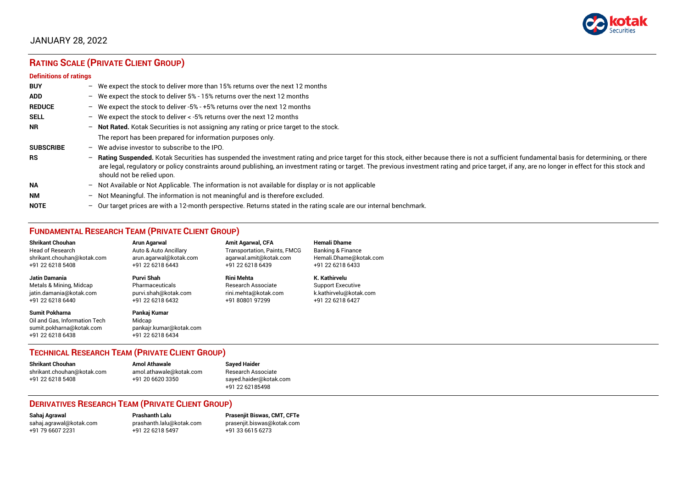

# JANUARY 28, 2022

# **RATING SCALE (PRIVATE CLIENT GROUP)**

#### **Definitions of ratings**

| <b>BUY</b>       | - We expect the stock to deliver more than 15% returns over the next 12 months                                                                                                                                                                                                                                                                                                                                                     |
|------------------|------------------------------------------------------------------------------------------------------------------------------------------------------------------------------------------------------------------------------------------------------------------------------------------------------------------------------------------------------------------------------------------------------------------------------------|
| <b>ADD</b>       | - We expect the stock to deliver 5% - 15% returns over the next 12 months                                                                                                                                                                                                                                                                                                                                                          |
| <b>REDUCE</b>    | - We expect the stock to deliver -5% - +5% returns over the next 12 months                                                                                                                                                                                                                                                                                                                                                         |
| <b>SELL</b>      | - We expect the stock to deliver $\lt$ -5% returns over the next 12 months                                                                                                                                                                                                                                                                                                                                                         |
| <b>NR</b>        | - Not Rated. Kotak Securities is not assigning any rating or price target to the stock.                                                                                                                                                                                                                                                                                                                                            |
|                  | The report has been prepared for information purposes only.                                                                                                                                                                                                                                                                                                                                                                        |
| <b>SUBSCRIBE</b> | $-$ We advise investor to subscribe to the IPO.                                                                                                                                                                                                                                                                                                                                                                                    |
| <b>RS</b>        | - Rating Suspended. Kotak Securities has suspended the investment rating and price target for this stock, either because there is not a sufficient fundamental basis for determining, or there<br>are legal, regulatory or policy constraints around publishing, an investment rating or target. The previous investment rating and price target, if any, are no longer in effect for this stock and<br>should not be relied upon. |
| <b>NA</b>        | - Not Available or Not Applicable. The information is not available for display or is not applicable                                                                                                                                                                                                                                                                                                                               |
| <b>NM</b>        | - Not Meaningful. The information is not meaningful and is therefore excluded.                                                                                                                                                                                                                                                                                                                                                     |
| <b>NOTE</b>      | $-$ Our target prices are with a 12-month perspective. Returns stated in the rating scale are our internal benchmark.                                                                                                                                                                                                                                                                                                              |

# **FUNDAMENTAL RESEARCH TEAM (PRIVATE CLIENT GROUP)**

| <b>Shrikant Chouhan</b>                                                                                | Arun Agarwal                                                          | <b>Amit Agarwal, CFA</b>            | <b>Hemali Dhame</b>      |
|--------------------------------------------------------------------------------------------------------|-----------------------------------------------------------------------|-------------------------------------|--------------------------|
| <b>Head of Research</b>                                                                                | Auto & Auto Ancillary                                                 | <b>Transportation, Paints, FMCG</b> | Banking & Finance        |
| shrikant.chouhan@kotak.com                                                                             | arun.agarwal@kotak.com                                                | agarwal.amit@kotak.com              | Hemali.Dhame@kotak.com   |
| +91 22 6218 5408                                                                                       | +91 22 6218 6443                                                      | +91 22 6218 6439                    | +91 22 6218 6433         |
| Jatin Damania                                                                                          | Purvi Shah                                                            | <b>Rini Mehta</b>                   | K. Kathirvelu            |
| Metals & Mining, Midcap                                                                                | Pharmaceuticals                                                       | Research Associate                  | <b>Support Executive</b> |
| jatin.damania@kotak.com                                                                                | purvi.shah@kotak.com                                                  | rini.mehta@kotak.com                | k.kathirvelu@kotak.com   |
| +91 22 6218 6440                                                                                       | +91 22 6218 6432                                                      | +91 80801 97299                     | +91 22 6218 6427         |
| <b>Sumit Pokharna</b><br>Oil and Gas, Information Tech<br>sumit.pokharna@kotak.com<br>+91 22 6218 6438 | Pankaj Kumar<br>Midcap<br>pankajr.kumar@kotak.com<br>+91 22 6218 6434 |                                     |                          |

# **TECHNICAL RESEARCH TEAM (PRIVATE CLIENT GROUP)**

| Shrikant Chouhan           | <b>Amol Athawale</b>    | <b>Sayed Haider</b>    |
|----------------------------|-------------------------|------------------------|
| shrikant.chouhan@kotak.com | amol.athawale@kotak.com | Research Associate     |
| +91 22 6218 5408           | +91 20 6620 3350        | sayed.haider@kotak.com |
|                            |                         | +91 22 62185498        |

#### **DERIVATIVES RESEARCH TEAM (PRIVATE CLIENT GROUP)**

+91 22 6218 5497 +91 33 6615 6273

**Sahaj Agrawal Prashanth Lalu Prasenjit Biswas, CMT, CFTe** [sahaj.agrawal@kotak.com](mailto:sahaj.agrawal@kotak.com) [prashanth.lalu@kotak.com](mailto:prashanth.lalu@kotak.com) [prasenjit.biswas@kotak.com](mailto:prasenjit.biswas@kotak.com)